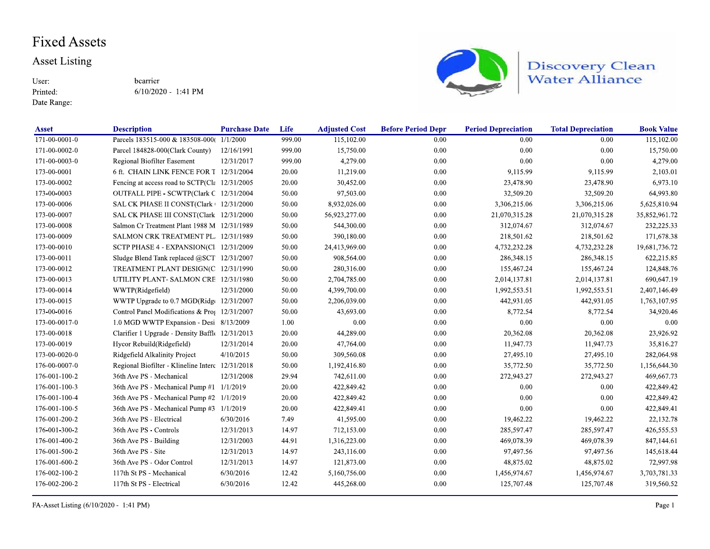### **Fixed Assets**

#### **Asset Listing**

User: Printed:

Date Range:

bcarrier  $6/10/2020 - 1:41$  PM



Discovery Clean<br>Water Alliance

| <b>Asset</b>  | <b>Description</b>                                         | <b>Purchase Date</b> | Life   | <b>Adjusted Cost</b> | <b>Before Period Depr</b> | <b>Period Depreciation</b> | <b>Total Depreciation</b> | <b>Book Value</b> |
|---------------|------------------------------------------------------------|----------------------|--------|----------------------|---------------------------|----------------------------|---------------------------|-------------------|
| 171-00-0001-0 | Parcels 183515-000 & 183508-000(                           | 1/1/2000             | 999.00 | 115,102.00           | 0.00                      | 0.00                       | 0.00                      | 115,102.00        |
| 171-00-0002-0 | Parcel 184828-000(Clark County)                            | 12/16/1991           | 999.00 | 15,750.00            | 0.00                      | 0.00                       | 0.00                      | 15,750.00         |
| 171-00-0003-0 | Regional Biofilter Easement                                | 12/31/2017           | 999.00 | 4,279.00             | 0.00                      | 0.00                       | 0.00                      | 4,279.00          |
| 173-00-0001   | 6 ft. CHAIN LINK FENCE FOR T 12/31/2004                    |                      | 20.00  | 11,219.00            | 0.00                      | 9,115.99                   | 9,115.99                  | 2,103.01          |
| 173-00-0002   | Fencing at access road to SCTP( $C1\varepsilon$ 12/31/2005 |                      | 20.00  | 30,452.00            | 0.00                      | 23,478.90                  | 23,478.90                 | 6,973.10          |
| 173-00-0003   | OUTFALL PIPE - SCWTP(Clark C 12/31/2004                    |                      | 50.00  | 97,503.00            | 0.00                      | 32,509.20                  | 32,509.20                 | 64,993.80         |
| 173-00-0006   | SAL CK PHASE II CONST(Clark + 12/31/2000                   |                      | 50.00  | 8,932,026.00         | 0.00                      | 3,306,215.06               | 3,306,215.06              | 5,625,810.94      |
| 173-00-0007   | SAL CK PHASE III CONST(Clark 12/31/2000                    |                      | 50.00  | 56,923,277.00        | 0.00                      | 21,070,315.28              | 21,070,315.28             | 35,852,961.72     |
| 173-00-0008   | Salmon Cr Treatment Plant 1988 M 12/31/1989                |                      | 50.00  | 544,300.00           | 0.00                      | 312,074.67                 | 312,074.67                | 232, 225. 33      |
| 173-00-0009   | SALMON CRK TREATMENT PL. 12/31/1989                        |                      | 50.00  | 390,180.00           | 0.00                      | 218,501.62                 | 218,501.62                | 171,678.38        |
| 173-00-0010   | SCTP PHASE 4 - EXPANSION(Cl 12/31/2009                     |                      | 50.00  | 24,413,969.00        | 0.00                      | 4,732,232.28               | 4,732,232.28              | 19,681,736.72     |
| 173-00-0011   | Sludge Blend Tank replaced @SCT 12/31/2007                 |                      | 50.00  | 908,564.00           | 0.00                      | 286,348.15                 | 286,348.15                | 622,215.85        |
| 173-00-0012   | TREATMENT PLANT DESIGN(C 12/31/1990                        |                      | 50.00  | 280,316.00           | 0.00                      | 155,467.24                 | 155,467.24                | 124,848.76        |
| 173-00-0013   | UTILITY PLANT-SALMON CRE 12/31/1980                        |                      | 50.00  | 2,704,785.00         | 0.00                      | 2,014,137.81               | 2,014,137.81              | 690,647.19        |
| 173-00-0014   | WWTP(Ridgefield)                                           | 12/31/2000           | 50.00  | 4,399,700.00         | 0.00                      | 1,992,553.51               | 1,992,553.51              | 2,407,146.49      |
| 173-00-0015   | WWTP Upgrade to 0.7 MGD(Ridg(12/31/2007                    |                      | 50.00  | 2,206,039.00         | 0.00                      | 442,931.05                 | 442,931.05                | 1,763,107.95      |
| 173-00-0016   | Control Panel Modifications & Prof 12/31/2007              |                      | 50.00  | 43,693.00            | 0.00                      | 8,772.54                   | 8,772.54                  | 34,920.46         |
| 173-00-0017-0 | 1.0 MGD WWTP Expansion - Desi 8/13/2009                    |                      | 1.00   | 0.00                 | 0.00                      | 0.00                       | 0.00                      | 0.00              |
| 173-00-0018   | Clarifier 1 Upgrade - Density Baffle 12/31/2013            |                      | 20.00  | 44,289.00            | 0.00                      | 20,362.08                  | 20,362.08                 | 23,926.92         |
| 173-00-0019   | Hycor Rebuild(Ridgefield)                                  | 12/31/2014           | 20.00  | 47,764.00            | 0.00                      | 11,947.73                  | 11,947.73                 | 35,816.27         |
| 173-00-0020-0 | Ridgefield Alkalinity Project                              | 4/10/2015            | 50.00  | 309,560.08           | 0.00                      | 27,495.10                  | 27,495.10                 | 282,064.98        |
| 176-00-0007-0 | Regional Biofilter - Klineline Interc 12/31/2018           |                      | 50.00  | 1,192,416.80         | 0.00                      | 35,772.50                  | 35,772.50                 | 1,156,644.30      |
| 176-001-100-2 | 36th Ave PS - Mechanical                                   | 12/31/2008           | 29.94  | 742,611.00           | 0.00                      | 272,943.27                 | 272,943.27                | 469,667.73        |
| 176-001-100-3 | 36th Ave PS - Mechanical Pump #1 1/1/2019                  |                      | 20.00  | 422,849.42           | 0.00                      | 0.00                       | 0.00                      | 422,849.42        |
| 176-001-100-4 | 36th Ave PS - Mechanical Pump #2 1/1/2019                  |                      | 20.00  | 422,849.42           | 0.00                      | 0.00                       | 0.00                      | 422,849.42        |
| 176-001-100-5 | 36th Ave PS - Mechanical Pump #3 1/1/2019                  |                      | 20.00  | 422,849.41           | 0.00                      | 0.00                       | 0.00                      | 422,849.41        |
| 176-001-200-2 | 36th Ave PS - Electrical                                   | 6/30/2016            | 7.49   | 41,595.00            | 0.00                      | 19,462.22                  | 19,462.22                 | 22,132.78         |
| 176-001-300-2 | 36th Ave PS - Controls                                     | 12/31/2013           | 14.97  | 712,153.00           | 0.00                      | 285,597.47                 | 285,597.47                | 426,555.53        |
| 176-001-400-2 | 36th Ave PS - Building                                     | 12/31/2003           | 44.91  | 1,316,223.00         | 0.00                      | 469,078.39                 | 469,078.39                | 847,144.61        |
| 176-001-500-2 | 36th Ave PS - Site                                         | 12/31/2013           | 14.97  | 243,116.00           | 0.00                      | 97,497.56                  | 97,497.56                 | 145,618.44        |
| 176-001-600-2 | 36th Ave PS - Odor Control                                 | 12/31/2013           | 14.97  | 121,873.00           | 0.00                      | 48,875.02                  | 48,875.02                 | 72,997.98         |
| 176-002-100-2 | 117th St PS - Mechanical                                   | 6/30/2016            | 12.42  | 5,160,756.00         | 0.00                      | 1,456,974.67               | 1,456,974.67              | 3,703,781.33      |
| 176 002 200 2 | 117th St PS - Electrical                                   | 6/30/2016            | 12.42  | 445,268.00           | 0.00                      | 125,707.48                 | 125,707.48                | 319,560.52        |

FA-Asset Listing (6/10/2020 - 1:41 PM)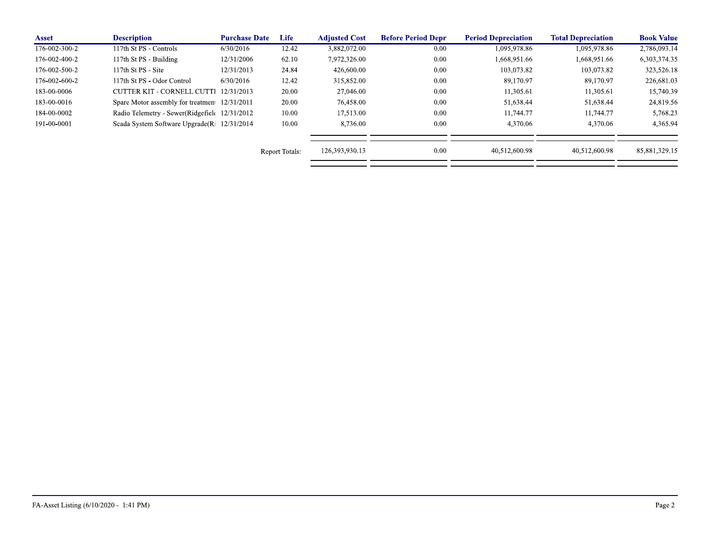| <b>Asset</b>  | <b>Description</b>                             | <b>Purchase Date</b> | Life                  | <b>Adiusted Cost</b> | <b>Before Period Depr</b> | <b>Period Depreciation</b> | <b>Total Depreciation</b> | <b>Book Value</b> |
|---------------|------------------------------------------------|----------------------|-----------------------|----------------------|---------------------------|----------------------------|---------------------------|-------------------|
| 176 002 300 2 | 117th St PS - Controls                         | 6/30/2016            | 12.42                 | 3,882,072.00         | 0.00                      | 1,095,978.86               | 1,095,978.86              | 2,786,093.14      |
| 176-002-400-2 | 117th St PS - Building                         | 12/31/2006           | 62.10                 | 7,972,326.00         | 0.00                      | 1,668,951.66               | 1,668,951.66              | 6,303,374.35      |
| 176-002-500-2 | 117th St PS - Site                             | 12/31/2013           | 24.84                 | 426,600.00           | 0.00                      | 103.073.82                 | 103.073.82                | 323,526.18        |
| 176-002-600-2 | 117th St PS - Odor Control                     | 6/30/2016            | 12.42                 | 315,852.00           | 0.00                      | 89,170.97                  | 89.170.97                 | 226,681.03        |
| 183-00-0006   | CUTTER KIT - CORNELL CUTTI                     | 12/31/2013           | 20.00                 | 27,046.00            | 0.00                      | 11,305.61                  | 11,305.61                 | 15,740.39         |
| 183-00-0016   | Spare Motor assembly for treatmen 12/31/2011   |                      | 20.00                 | 76,458.00            | 0.00                      | 51,638.44                  | 51,638.44                 | 24,819.56         |
| 184-00-0002   | Radio Telemetry - Sewer(Ridgefield 12/31/2012) |                      | 10.00                 | 17,513.00            | 0.00                      | 11.744.77                  | 11.744.77                 | 5,768.23          |
| 191-00-0001   | Scada System Software Upgrade (Ri 12/31/2014)  |                      | 10.00                 | 8,736.00             | 0.00                      | 4.370.06                   | 4.370.06                  | 4,365.94          |
|               |                                                |                      | <b>Report Totals:</b> | 126,393,930.13       | 0.00                      | 40.512.600.98              | 40.512.600.98             | 85,881,329.15     |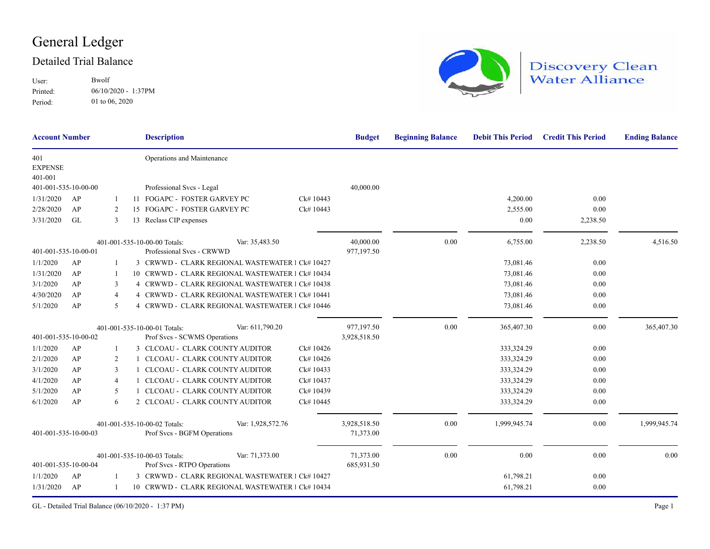## General Ledger

#### Detailed Trial Balance

User: Printed: 06/10/2020 - 1:37PM Bwolf 01 to 06, 2020 Period:



# Discovery Clean<br>Water Alliance

| <b>Account Number</b>            |           |                | <b>Description</b>                                          |                                                  |           | <b>Budget</b>           | <b>Beginning Balance</b> | <b>Debit This Period</b> | <b>Credit This Period</b> | <b>Ending Balance</b> |
|----------------------------------|-----------|----------------|-------------------------------------------------------------|--------------------------------------------------|-----------|-------------------------|--------------------------|--------------------------|---------------------------|-----------------------|
| 401<br><b>EXPENSE</b><br>401-001 |           |                | Operations and Maintenance                                  |                                                  |           |                         |                          |                          |                           |                       |
| 401-001-535-10-00-00             |           |                | Professional Svcs - Legal                                   |                                                  |           | 40,000.00               |                          |                          |                           |                       |
| 1/31/2020                        | AP        |                | 11 FOGAPC - FOSTER GARVEY PC                                |                                                  | Ck# 10443 |                         |                          | 4,200.00                 | 0.00                      |                       |
| 2/28/2020                        | AP        | 2              | 15 FOGAPC - FOSTER GARVEY PC                                |                                                  | Ck# 10443 |                         |                          | 2,555.00                 | 0.00                      |                       |
| 3/31/2020                        | <b>GL</b> | 3              | 13 Reclass CIP expenses                                     |                                                  |           |                         |                          | 0.00                     | 2,238.50                  |                       |
|                                  |           |                | 401-001-535-10-00-00 Totals:                                | Var: 35,483.50                                   |           | 40,000.00               | 0.00                     | 6,755.00                 | 2,238.50                  | 4,516.50              |
| 401-001-535-10-00-01             |           |                | Professional Svcs - CRWWD                                   |                                                  |           | 977,197.50              |                          |                          |                           |                       |
| 1/1/2020                         | AP        |                |                                                             | 3 CRWWD - CLARK REGIONAL WASTEWATER 1 Ck# 10427  |           |                         |                          | 73,081.46                | 0.00                      |                       |
| 1/31/2020                        | AP        |                |                                                             | 10 CRWWD - CLARK REGIONAL WASTEWATER 1 Ck# 10434 |           |                         |                          | 73,081.46                | 0.00                      |                       |
| 3/1/2020                         | AP        | 3              |                                                             | 4 CRWWD - CLARK REGIONAL WASTEWATER 1 Ck# 10438  |           |                         |                          | 73,081.46                | 0.00                      |                       |
| 4/30/2020                        | AP        | $\overline{4}$ |                                                             | 4 CRWWD - CLARK REGIONAL WASTEWATER 1 Ck# 10441  |           |                         |                          | 73,081.46                | 0.00                      |                       |
| 5/1/2020                         | AP        | 5              |                                                             | CRWWD - CLARK REGIONAL WASTEWATER 1 Ck# 10446    |           |                         |                          | 73,081.46                | 0.00                      |                       |
|                                  |           |                | 401-001-535-10-00-01 Totals:                                | Var: 611,790.20                                  |           | 977,197.50              | 0.00                     | 365,407.30               | 0.00                      | 365,407.30            |
| 401-001-535-10-00-02             |           |                | Prof Svcs - SCWMS Operations                                |                                                  |           | 3,928,518.50            |                          |                          |                           |                       |
| 1/1/2020                         | AP        | 1              | 3 CLCOAU - CLARK COUNTY AUDITOR                             |                                                  | Ck#10426  |                         |                          | 333,324.29               | 0.00                      |                       |
| 2/1/2020                         | AP        | 2              |                                                             | CLCOAU - CLARK COUNTY AUDITOR                    | Ck#10426  |                         |                          | 333,324.29               | 0.00                      |                       |
| 3/1/2020                         | AP        | 3              |                                                             | CLCOAU - CLARK COUNTY AUDITOR                    | Ck#10433  |                         |                          | 333,324.29               | 0.00                      |                       |
| 4/1/2020                         | AP        | 4              |                                                             | CLCOAU - CLARK COUNTY AUDITOR                    | Ck#10437  |                         |                          | 333,324.29               | 0.00                      |                       |
| 5/1/2020                         | AP        | 5              |                                                             | CLCOAU - CLARK COUNTY AUDITOR                    | Ck# 10439 |                         |                          | 333,324.29               | 0.00                      |                       |
| 6/1/2020                         | AP        | 6              | 2 CLCOAU - CLARK COUNTY AUDITOR                             |                                                  | Ck# 10445 |                         |                          | 333,324.29               | 0.00                      |                       |
|                                  |           |                | 401-001-535-10-00-02 Totals:                                | Var: 1,928,572.76                                |           | 3,928,518.50            | 0.00                     | 1,999,945.74             | 0.00                      | 1,999,945.74          |
| 401-001-535-10-00-03             |           |                | Prof Svcs - BGFM Operations                                 |                                                  |           | 71,373.00               |                          |                          |                           |                       |
| 401-001-535-10-00-04             |           |                | 401-001-535-10-00-03 Totals:<br>Prof Svcs - RTPO Operations | Var: 71,373.00                                   |           | 71,373.00<br>685,931.50 | 0.00                     | 0.00                     | 0.00                      | 0.00                  |
| 1/1/2020                         | AP        |                |                                                             | 3 CRWWD - CLARK REGIONAL WASTEWATER 1 Ck# 10427  |           |                         |                          | 61,798.21                | 0.00                      |                       |
| 1/31/2020                        | AP        |                |                                                             | 10 CRWWD - CLARK REGIONAL WASTEWATER 1 Ck# 10434 |           |                         |                          | 61,798.21                | 0.00                      |                       |

GL - Detailed Trial Balance (06/10/2020 - 1:37 PM) Page 1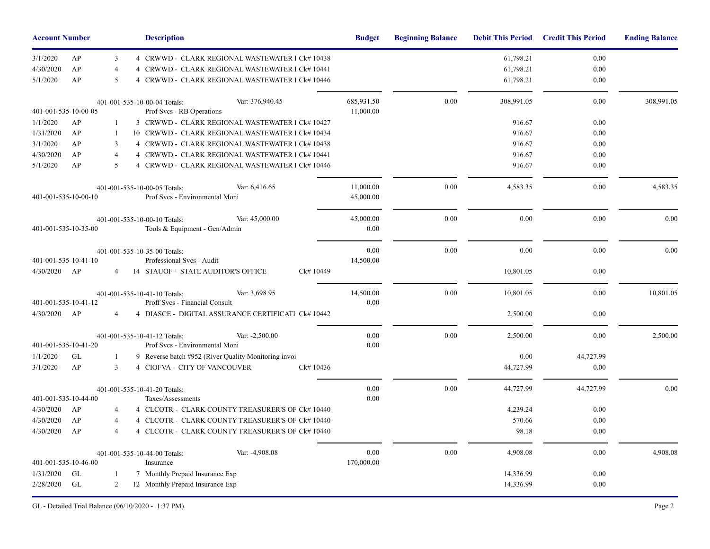| <b>Account Number</b> |    |                | <b>Description</b>                                                               | <b>Budget</b>          | <b>Beginning Balance</b> | <b>Debit This Period</b> | <b>Credit This Period</b> | <b>Ending Balance</b> |
|-----------------------|----|----------------|----------------------------------------------------------------------------------|------------------------|--------------------------|--------------------------|---------------------------|-----------------------|
| 3/1/2020              | AP | 3              | 4 CRWWD - CLARK REGIONAL WASTEWATER 1 Ck# 10438                                  |                        |                          | 61,798.21                | 0.00                      |                       |
| 4/30/2020             | AP | $\overline{4}$ | CRWWD - CLARK REGIONAL WASTEWATER 1 Ck# 10441                                    |                        |                          | 61,798.21                | 0.00                      |                       |
| 5/1/2020              | AP | 5              | 4 CRWWD - CLARK REGIONAL WASTEWATER 1 Ck# 10446                                  |                        |                          | 61,798.21                | 0.00                      |                       |
|                       |    |                | Var: 376,940.45<br>401-001-535-10-00-04 Totals:                                  | 685,931.50             | 0.00                     | 308,991.05               | 0.00                      | 308,991.05            |
| 401-001-535-10-00-05  |    |                | Prof Svcs - RB Operations                                                        | 11,000.00              |                          |                          |                           |                       |
| 1/1/2020              | AP | 1              | 3 CRWWD - CLARK REGIONAL WASTEWATER 1 Ck# 10427                                  |                        |                          | 916.67                   | 0.00                      |                       |
| 1/31/2020             | AP | 1              | 10 CRWWD - CLARK REGIONAL WASTEWATER 1 Ck# 10434                                 |                        |                          | 916.67                   | 0.00                      |                       |
| 3/1/2020              | AP | 3              | 4 CRWWD - CLARK REGIONAL WASTEWATER 1 Ck# 10438                                  |                        |                          | 916.67                   | 0.00                      |                       |
| 4/30/2020             | AP | $\overline{4}$ | 4 CRWWD - CLARK REGIONAL WASTEWATER 1 Ck# 10441                                  |                        |                          | 916.67                   | 0.00                      |                       |
| 5/1/2020              | AP | $\mathfrak{F}$ | 4 CRWWD - CLARK REGIONAL WASTEWATER 1 Ck# 10446                                  |                        |                          | 916.67                   | 0.00                      |                       |
| 401-001-535-10-00-10  |    |                | Var: 6,416.65<br>401-001-535-10-00-05 Totals:<br>Prof Svcs - Environmental Moni  | 11,000.00<br>45,000.00 | 0.00                     | 4,583.35                 | 0.00                      | 4,583.35              |
| 401-001-535-10-35-00  |    |                | Var: 45,000.00<br>401-001-535-10-00-10 Totals:<br>Tools & Equipment - Gen/Admin  | 45,000.00<br>0.00      | 0.00                     | 0.00                     | $0.00\,$                  | 0.00                  |
|                       |    |                | 401-001-535-10-35-00 Totals:                                                     | 0.00                   | 0.00                     | 0.00                     | 0.00                      | 0.00                  |
| 401-001-535-10-41-10  |    |                | Professional Svcs - Audit                                                        | 14,500.00              |                          |                          |                           |                       |
| 4/30/2020             | AP | 4              | 14 STAUOF - STATE AUDITOR'S OFFICE<br>Ck#10449                                   |                        |                          | 10,801.05                | 0.00                      |                       |
| 401-001-535-10-41-12  |    |                | Var: 3,698.95<br>401-001-535-10-41-10 Totals:<br>Proff Svcs - Financial Consult  | 14,500.00<br>0.00      | 0.00                     | 10,801.05                | 0.00                      | 10,801.05             |
| 4/30/2020             | AP | 4              | 4 DIASCE - DIGITAL ASSURANCE CERTIFICATI Ck# 10442                               |                        |                          | 2,500.00                 | 0.00                      |                       |
| 401-001-535-10-41-20  |    |                | Var: -2,500.00<br>401-001-535-10-41-12 Totals:<br>Prof Svcs - Environmental Moni | 0.00<br>0.00           | 0.00                     | 2,500.00                 | 0.00                      | 2,500.00              |
| 1/1/2020              | GL | 1              | 9 Reverse batch #952 (River Quality Monitoring invoi                             |                        |                          | 0.00                     | 44,727.99                 |                       |
| 3/1/2020              | AP | 3              | 4 CIOFVA - CITY OF VANCOUVER<br>Ck#10436                                         |                        |                          | 44,727.99                | 0.00                      |                       |
|                       |    |                | 401-001-535-10-41-20 Totals:                                                     | $0.00\,$               | 0.00                     | 44,727.99                | 44,727.99                 | 0.00                  |
| 401-001-535-10-44-00  |    |                | Taxes/Assessments                                                                | 0.00                   |                          |                          |                           |                       |
| 4/30/2020             | AP | $\overline{4}$ | 4 CLCOTR - CLARK COUNTY TREASURER'S OF Ck#10440                                  |                        |                          | 4,239.24                 | 0.00                      |                       |
| 4/30/2020             | AP | $\overline{4}$ | 4 CLCOTR - CLARK COUNTY TREASURER'S OF Ck# 10440                                 |                        |                          | 570.66                   | 0.00                      |                       |
| 4/30/2020             | AP | $\overline{4}$ | 4 CLCOTR - CLARK COUNTY TREASURER'S OF Ck# 10440                                 |                        |                          | 98.18                    | 0.00                      |                       |
|                       |    |                | Var: -4,908.08<br>401-001-535-10-44-00 Totals:                                   | 0.00                   | 0.00                     | 4,908.08                 | 0.00                      | 4,908.08              |
| 401-001-535-10-46-00  |    |                | Insurance                                                                        | 170,000.00             |                          |                          |                           |                       |
| 1/31/2020             | GL | 1              | 7 Monthly Prepaid Insurance Exp                                                  |                        |                          | 14,336.99                | 0.00                      |                       |
| 2/28/2020             | GL | $\overline{2}$ | 12 Monthly Prepaid Insurance Exp                                                 |                        |                          | 14,336.99                | 0.00                      |                       |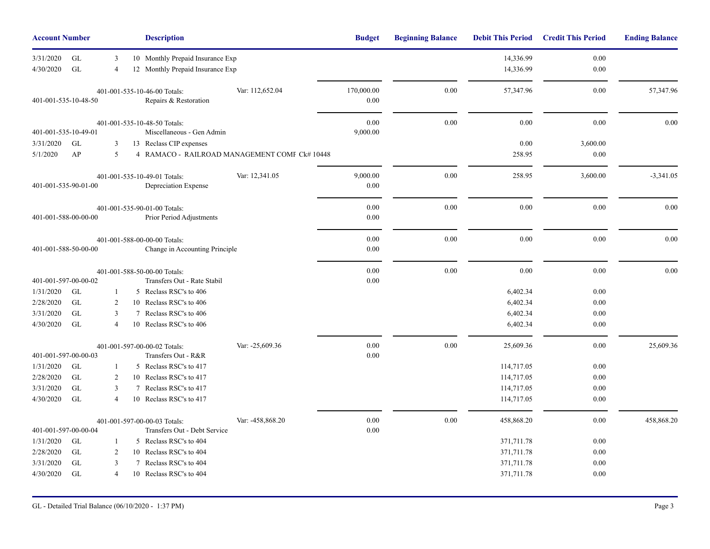| <b>Account Number</b>  |                           |                     |   | <b>Description</b>                                             |                  | <b>Budget</b>      | <b>Beginning Balance</b> | <b>Debit This Period</b> | <b>Credit This Period</b> | <b>Ending Balance</b> |
|------------------------|---------------------------|---------------------|---|----------------------------------------------------------------|------------------|--------------------|--------------------------|--------------------------|---------------------------|-----------------------|
| 3/31/2020              | GL                        | 3                   |   | 10 Monthly Prepaid Insurance Exp                               |                  |                    |                          | 14,336.99                | 0.00                      |                       |
| 4/30/2020              | GL                        | $\overline{4}$      |   | 12 Monthly Prepaid Insurance Exp                               |                  |                    |                          | 14,336.99                | 0.00                      |                       |
| 401-001-535-10-48-50   |                           |                     |   | 401-001-535-10-46-00 Totals:<br>Repairs & Restoration          | Var: 112,652.04  | 170,000.00<br>0.00 | 0.00                     | 57,347.96                | 0.00                      | 57,347.96             |
| 401-001-535-10-49-01   |                           |                     |   | 401-001-535-10-48-50 Totals:<br>Miscellaneous - Gen Admin      |                  | 0.00<br>9,000.00   | 0.00                     | 0.00                     | 0.00                      | 0.00                  |
| 3/31/2020              | GL                        | 3                   |   | 13 Reclass CIP expenses                                        |                  |                    |                          | 0.00                     | 3,600.00                  |                       |
| 5/1/2020               | AP                        | 5                   |   | 4 RAMACO - RAILROAD MANAGEMENT COMF Ck# 10448                  |                  |                    |                          | 258.95                   | 0.00                      |                       |
| 401-001-535-90-01-00   |                           |                     |   | 401-001-535-10-49-01 Totals:<br>Depreciation Expense           | Var: 12,341.05   | 9,000.00<br>0.00   | 0.00                     | 258.95                   | 3,600.00                  | $-3,341.05$           |
| 401-001-588-00-00-00   |                           |                     |   | 401-001-535-90-01-00 Totals:<br>Prior Period Adjustments       |                  | 0.00<br>0.00       | 0.00                     | 0.00                     | $0.00\,$                  | 0.00                  |
| 401-001-588-50-00-00   |                           |                     |   | 401-001-588-00-00-00 Totals:<br>Change in Accounting Principle |                  | 0.00<br>0.00       | 0.00                     | $0.00\,$                 | $0.00\,$                  | 0.00                  |
|                        |                           |                     |   | 401-001-588-50-00-00 Totals:                                   |                  | 0.00               | 0.00                     | 0.00                     | 0.00                      | 0.00                  |
| 401-001-597-00-00-02   |                           |                     |   | Transfers Out - Rate Stabil                                    |                  | 0.00               |                          |                          |                           |                       |
| 1/31/2020              | <b>GL</b>                 |                     |   | 5 Reclass RSC's to 406                                         |                  |                    |                          | 6,402.34                 | 0.00                      |                       |
| 2/28/2020              | $\operatorname{GL}$<br>GL | $\overline{2}$      |   | 10 Reclass RSC's to 406                                        |                  |                    |                          | 6,402.34                 | $0.00\,$                  |                       |
| 3/31/2020<br>4/30/2020 | GL                        | 3<br>$\overline{4}$ |   | 7 Reclass RSC's to 406<br>10 Reclass RSC's to 406              |                  |                    |                          | 6,402.34<br>6,402.34     | 0.00<br>0.00              |                       |
| 401-001-597-00-00-03   |                           |                     |   | 401-001-597-00-00-02 Totals:<br>Transfers Out - R&R            | Var: -25,609.36  | 0.00<br>0.00       | 0.00                     | 25,609.36                | 0.00                      | 25,609.36             |
| 1/31/2020              | GL                        | 1                   |   | 5 Reclass RSC's to 417                                         |                  |                    |                          | 114,717.05               | 0.00                      |                       |
| 2/28/2020              | GL                        | 2                   |   | 10 Reclass RSC's to 417                                        |                  |                    |                          | 114,717.05               | 0.00                      |                       |
| 3/31/2020              | $\operatorname{GL}$       | 3                   | 7 | Reclass RSC's to 417                                           |                  |                    |                          | 114,717.05               | 0.00                      |                       |
| 4/30/2020              | GL                        | $\overline{4}$      |   | 10 Reclass RSC's to 417                                        |                  |                    |                          | 114,717.05               | 0.00                      |                       |
| 401-001-597-00-00-04   |                           |                     |   | 401-001-597-00-00-03 Totals:<br>Transfers Out - Debt Service   | Var: -458,868.20 | 0.00<br>0.00       | 0.00                     | 458,868.20               | 0.00                      | 458,868.20            |
| 1/31/2020              | GL                        | 1                   |   | 5 Reclass RSC's to 404                                         |                  |                    |                          | 371,711.78               | 0.00                      |                       |
| 2/28/2020              | GL                        | 2                   |   | 10 Reclass RSC's to 404                                        |                  |                    |                          | 371,711.78               | 0.00                      |                       |
| 3/31/2020              | $\operatorname{GL}$       | 3                   |   | 7 Reclass RSC's to 404                                         |                  |                    |                          | 371,711.78               | $0.00\,$                  |                       |
| 4/30/2020              | GL                        | $\overline{4}$      |   | 10 Reclass RSC's to 404                                        |                  |                    |                          | 371,711.78               | 0.00                      |                       |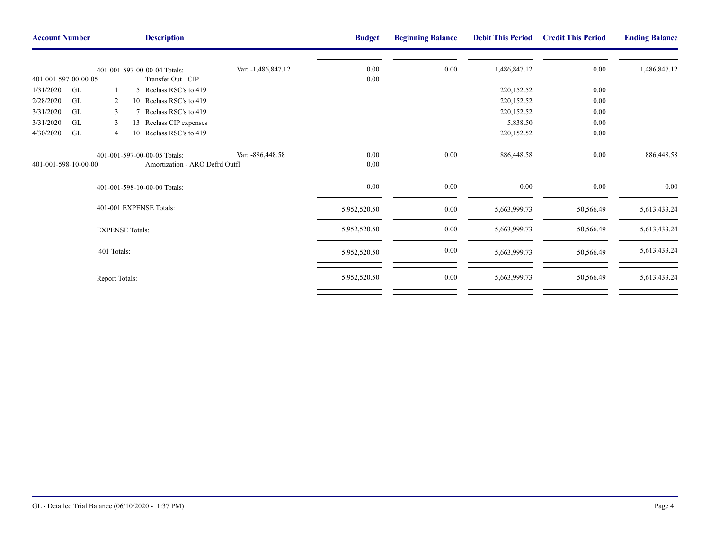| <b>Account Number</b>                   |                | <b>Description</b>                                             | <b>Budget</b>      | <b>Beginning Balance</b> | <b>Debit This Period</b> | <b>Credit This Period</b> | <b>Ending Balance</b> |              |
|-----------------------------------------|----------------|----------------------------------------------------------------|--------------------|--------------------------|--------------------------|---------------------------|-----------------------|--------------|
|                                         |                | 401-001-597-00-00-04 Totals:                                   | Var: -1,486,847.12 | 0.00                     | 0.00                     | 1,486,847.12              | $0.00\,$              | 1,486,847.12 |
| 401-001-597-00-00-05<br>1/31/2020<br>GL |                | Transfer Out - CIP<br>5 Reclass RSC's to 419                   |                    | 0.00                     |                          | 220,152.52                | $0.00\,$              |              |
| 2/28/2020<br><b>GL</b>                  | 2              | 10 Reclass RSC's to 419                                        |                    |                          |                          | 220,152.52                | 0.00                  |              |
|                                         |                | Reclass RSC's to 419                                           |                    |                          |                          |                           |                       |              |
| GL<br>3/31/2020                         | 3              |                                                                |                    |                          |                          | 220,152.52                | $0.00\,$              |              |
| GL<br>3/31/2020                         | 3              | 13 Reclass CIP expenses                                        |                    |                          |                          | 5,838.50                  | $0.00\,$              |              |
| GL<br>4/30/2020                         | $\overline{4}$ | 10 Reclass RSC's to 419                                        |                    |                          |                          | 220,152.52                | $0.00\,$              |              |
| 401-001-598-10-00-00                    |                | 401-001-597-00-00-05 Totals:<br>Amortization - ARO Defrd Outfl | Var: -886,448.58   | 0.00<br>0.00             | 0.00                     | 886,448.58                | 0.00                  | 886,448.58   |
|                                         |                | 401-001-598-10-00-00 Totals:                                   |                    | $0.00\,$                 | 0.00                     | $0.00\,$                  | $0.00\,$              | $0.00\,$     |
|                                         |                | 401-001 EXPENSE Totals:                                        |                    | 5,952,520.50             | 0.00                     | 5,663,999.73              | 50,566.49             | 5,613,433.24 |
|                                         |                | <b>EXPENSE Totals:</b>                                         |                    | 5,952,520.50             | 0.00                     | 5,663,999.73              | 50,566.49             | 5,613,433.24 |
|                                         | 401 Totals:    |                                                                |                    | 5,952,520.50             | $0.00\,$                 | 5,663,999.73              | 50,566.49             | 5,613,433.24 |
|                                         | Report Totals: |                                                                |                    | 5,952,520.50             | 0.00                     | 5,663,999.73              | 50,566.49             | 5,613,433.24 |
|                                         |                |                                                                |                    |                          |                          |                           |                       |              |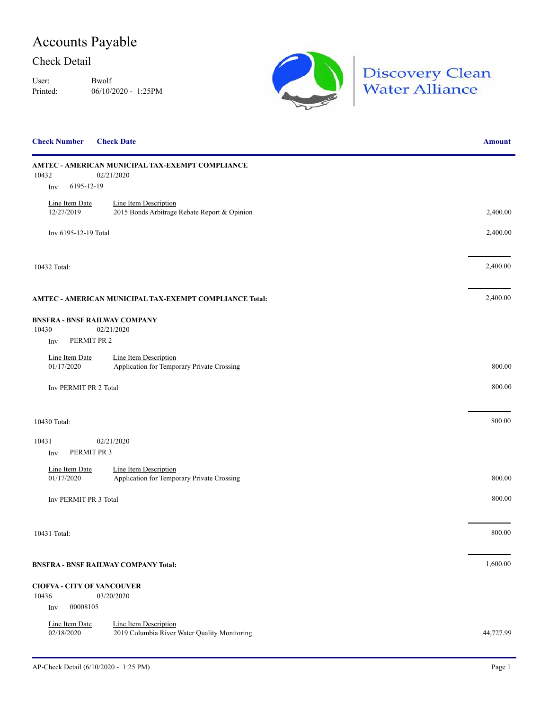## Accounts Payable

#### Check Detail

User: Bwolf Printed: 06/10/2020 - 1:25PM



| <b>Check Number</b>               | <b>Check Date</b>                                                     | <b>Amount</b> |
|-----------------------------------|-----------------------------------------------------------------------|---------------|
| 10432                             | AMTEC - AMERICAN MUNICIPAL TAX-EXEMPT COMPLIANCE<br>02/21/2020        |               |
| 6195-12-19<br>Inv                 |                                                                       |               |
| Line Item Date<br>12/27/2019      | Line Item Description<br>2015 Bonds Arbitrage Rebate Report & Opinion | 2,400.00      |
| Inv 6195-12-19 Total              |                                                                       | 2,400.00      |
| 10432 Total:                      |                                                                       | 2,400.00      |
|                                   | AMTEC - AMERICAN MUNICIPAL TAX-EXEMPT COMPLIANCE Total:               | 2,400.00      |
|                                   | <b>BNSFRA - BNSF RAILWAY COMPANY</b>                                  |               |
| 10430                             | 02/21/2020                                                            |               |
| Inv                               | PERMIT PR 2                                                           |               |
| Line Item Date                    | Line Item Description                                                 |               |
| 01/17/2020                        | Application for Temporary Private Crossing                            | 800.00        |
| Inv PERMIT PR 2 Total             |                                                                       | 800.00        |
| 10430 Total:                      |                                                                       | 800.00        |
| 10431                             | 02/21/2020                                                            |               |
| PERMIT PR 3<br>Inv                |                                                                       |               |
| Line Item Date                    | Line Item Description                                                 |               |
| 01/17/2020                        | Application for Temporary Private Crossing                            | 800.00        |
| Inv PERMIT PR 3 Total             |                                                                       | 800.00        |
|                                   |                                                                       |               |
| 10431 Total:                      |                                                                       | 800.00        |
|                                   | <b>BNSFRA - BNSF RAILWAY COMPANY Total:</b>                           | 1,600.00      |
| <b>CIOFVA - CITY OF VANCOUVER</b> |                                                                       |               |
| 10436                             | 03/20/2020                                                            |               |
| 00008105<br>Inv                   |                                                                       |               |
| Line Item Date<br>02/18/2020      | Line Item Description<br>2019 Columbia River Water Quality Monitoring | 44,727.99     |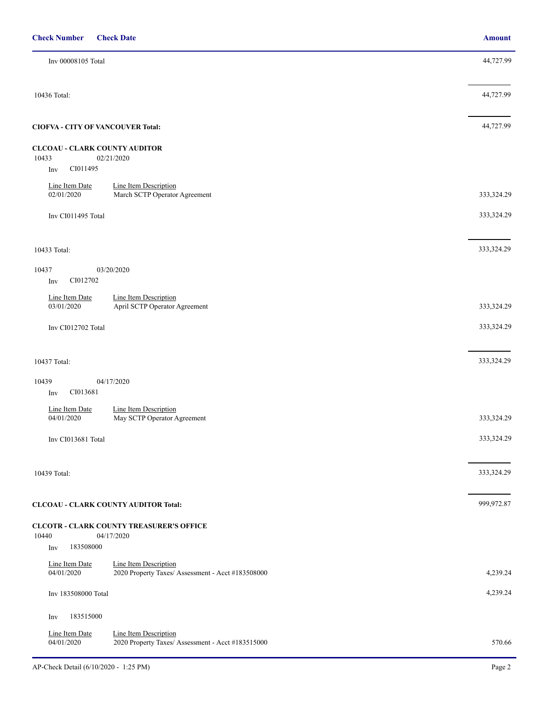| Inv 00008105 Total                                                                                         | 44,727.99  |
|------------------------------------------------------------------------------------------------------------|------------|
| 10436 Total:                                                                                               | 44,727.99  |
| <b>CIOFVA - CITY OF VANCOUVER Total:</b>                                                                   | 44,727.99  |
| <b>CLCOAU - CLARK COUNTY AUDITOR</b><br>10433<br>02/21/2020                                                |            |
| CI011495<br>Inv                                                                                            |            |
| Line Item Date<br>Line Item Description<br>02/01/2020<br>March SCTP Operator Agreement                     | 333,324.29 |
| Inv CI011495 Total                                                                                         | 333,324.29 |
| 10433 Total:                                                                                               | 333,324.29 |
| 03/20/2020<br>10437<br>CI012702<br>Inv                                                                     |            |
| Line Item Description<br>Line Item Date<br>03/01/2020<br>April SCTP Operator Agreement                     | 333,324.29 |
| Inv CI012702 Total                                                                                         | 333,324.29 |
| 10437 Total:                                                                                               | 333,324.29 |
| 04/17/2020<br>10439                                                                                        |            |
| CI013681<br>Inv                                                                                            |            |
| Line Item Date<br>Line Item Description<br>04/01/2020<br>May SCTP Operator Agreement                       | 333,324.29 |
| Inv CI013681 Total                                                                                         | 333,324.29 |
| 10439 Total:                                                                                               | 333,324.29 |
| <b>CLCOAU - CLARK COUNTY AUDITOR Total:</b>                                                                | 999,972.87 |
| <b>CLCOTR - CLARK COUNTY TREASURER'S OFFICE</b><br>10440<br>04/17/2020<br>183508000                        |            |
| Inv                                                                                                        |            |
| Line Item Description<br>Line Item Date<br>04/01/2020<br>2020 Property Taxes/ Assessment - Acct #183508000 | 4,239.24   |
| Inv 183508000 Total                                                                                        | 4,239.24   |
| 183515000<br>Inv                                                                                           |            |
| Line Item Date<br>Line Item Description<br>04/01/2020<br>2020 Property Taxes/ Assessment - Acct #183515000 | 570.66     |

**Check Number Check Date Amount**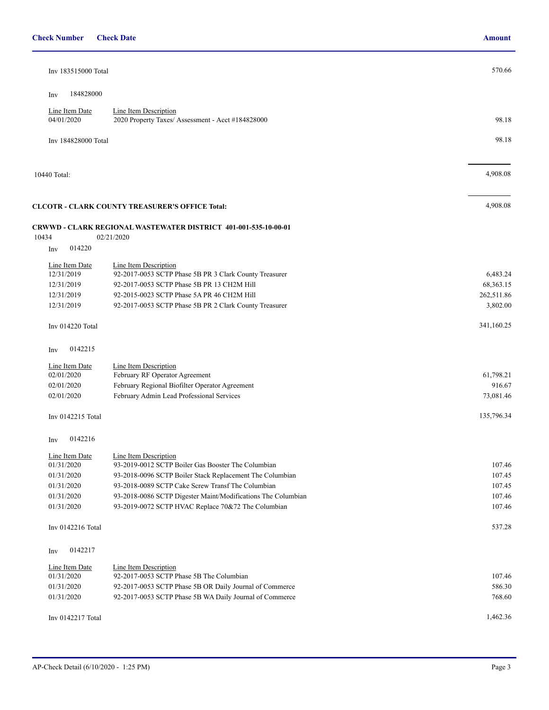| <b>Check Number</b> Check Date |  | Amount |  |
|--------------------------------|--|--------|--|
|--------------------------------|--|--------|--|

| Inv 183515000 Total          |                                                                        | 570.66     |
|------------------------------|------------------------------------------------------------------------|------------|
|                              |                                                                        |            |
| 184828000<br>Inv             |                                                                        |            |
| Line Item Date               | <b>Line Item Description</b>                                           |            |
| 04/01/2020                   | 2020 Property Taxes/ Assessment - Acct #184828000                      | 98.18      |
|                              |                                                                        |            |
| Inv 184828000 Total          |                                                                        | 98.18      |
|                              |                                                                        |            |
|                              |                                                                        | 4,908.08   |
| 10440 Total:                 |                                                                        |            |
|                              |                                                                        |            |
|                              | <b>CLCOTR - CLARK COUNTY TREASURER'S OFFICE Total:</b>                 | 4,908.08   |
|                              |                                                                        |            |
|                              | <b>CRWWD - CLARK REGIONAL WASTEWATER DISTRICT 401-001-535-10-00-01</b> |            |
| 10434                        | 02/21/2020                                                             |            |
| 014220<br>Inv                |                                                                        |            |
| Line Item Date               | Line Item Description                                                  |            |
| 12/31/2019                   | 92-2017-0053 SCTP Phase 5B PR 3 Clark County Treasurer                 | 6,483.24   |
| 12/31/2019                   | 92-2017-0053 SCTP Phase 5B PR 13 CH2M Hill                             | 68,363.15  |
| 12/31/2019                   | 92-2015-0023 SCTP Phase 5A PR 46 CH2M Hill                             | 262,511.86 |
| 12/31/2019                   | 92-2017-0053 SCTP Phase 5B PR 2 Clark County Treasurer                 | 3,802.00   |
| Inv 014220 Total             |                                                                        | 341,160.25 |
|                              |                                                                        |            |
| 0142215<br>Inv               |                                                                        |            |
|                              |                                                                        |            |
| Line Item Date<br>02/01/2020 | <b>Line Item Description</b><br>February RF Operator Agreement         | 61,798.21  |
| 02/01/2020                   | February Regional Biofilter Operator Agreement                         | 916.67     |
| 02/01/2020                   | February Admin Lead Professional Services                              | 73,081.46  |
|                              |                                                                        |            |
| Inv 0142215 Total            |                                                                        | 135,796.34 |
|                              |                                                                        |            |
| 0142216<br>Inv               |                                                                        |            |
| Line Item Date               | Line Item Description                                                  |            |
| 01/31/2020                   | 93-2019-0012 SCTP Boiler Gas Booster The Columbian                     | 107.46     |
| 01/31/2020                   | 93-2018-0096 SCTP Boiler Stack Replacement The Columbian               | 107.45     |
| 01/31/2020                   | 93-2018-0089 SCTP Cake Screw Transf The Columbian                      | 107.45     |
| 01/31/2020                   | 93-2018-0086 SCTP Digester Maint/Modifications The Columbian           | 107.46     |
| 01/31/2020                   | 93-2019-0072 SCTP HVAC Replace 70&72 The Columbian                     | 107.46     |
|                              |                                                                        | 537.28     |
| Inv 0142216 Total            |                                                                        |            |
| 0142217                      |                                                                        |            |
| Inv                          |                                                                        |            |
| Line Item Date               | <b>Line Item Description</b>                                           |            |
| 01/31/2020                   | 92-2017-0053 SCTP Phase 5B The Columbian                               | 107.46     |
| 01/31/2020                   | 92-2017-0053 SCTP Phase 5B OR Daily Journal of Commerce                | 586.30     |
| 01/31/2020                   | 92-2017-0053 SCTP Phase 5B WA Daily Journal of Commerce                | 768.60     |
| Inv 0142217 Total            |                                                                        | 1,462.36   |
|                              |                                                                        |            |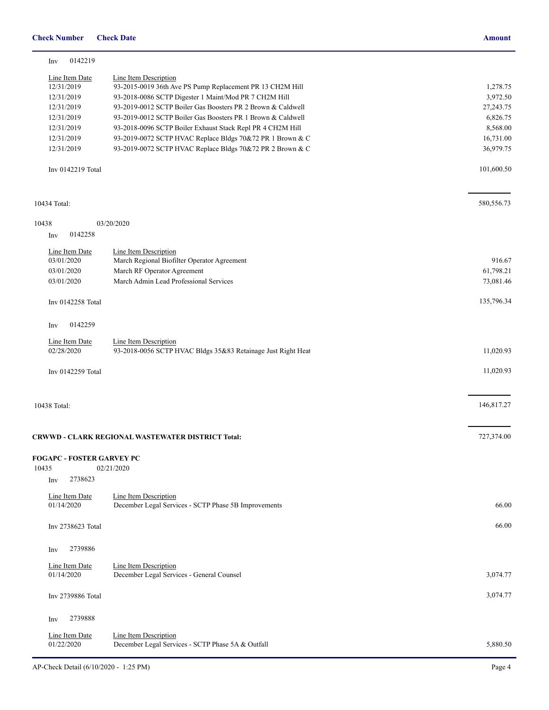| Inv          | 0142219                          |                                                                               |             |
|--------------|----------------------------------|-------------------------------------------------------------------------------|-------------|
|              | Line Item Date                   | Line Item Description                                                         |             |
|              | 12/31/2019                       | 93-2015-0019 36th Ave PS Pump Replacement PR 13 CH2M Hill                     | 1,278.75    |
|              | 12/31/2019                       | 93-2018-0086 SCTP Digester 1 Maint/Mod PR 7 CH2M Hill                         | 3,972.50    |
|              | 12/31/2019                       | 93-2019-0012 SCTP Boiler Gas Boosters PR 2 Brown & Caldwell                   | 27, 243. 75 |
|              | 12/31/2019                       | 93-2019-0012 SCTP Boiler Gas Boosters PR 1 Brown & Caldwell                   | 6,826.75    |
|              | 12/31/2019                       | 93-2018-0096 SCTP Boiler Exhaust Stack Repl PR 4 CH2M Hill                    | 8,568.00    |
|              | 12/31/2019                       | 93-2019-0072 SCTP HVAC Replace Bldgs 70&72 PR 1 Brown & C                     | 16,731.00   |
|              | 12/31/2019                       | 93-2019-0072 SCTP HVAC Replace Bldgs 70&72 PR 2 Brown & C                     | 36,979.75   |
|              | Inv 0142219 Total                |                                                                               | 101,600.50  |
| 10434 Total: |                                  |                                                                               | 580,556.73  |
|              |                                  |                                                                               |             |
| 10438        |                                  | 03/20/2020                                                                    |             |
| Inv          | 0142258                          |                                                                               |             |
|              | Line Item Date                   | Line Item Description                                                         |             |
|              | 03/01/2020                       | March Regional Biofilter Operator Agreement                                   | 916.67      |
|              | 03/01/2020                       | March RF Operator Agreement                                                   | 61,798.21   |
|              | 03/01/2020                       | March Admin Lead Professional Services                                        | 73,081.46   |
|              | Inv 0142258 Total                |                                                                               | 135,796.34  |
|              |                                  |                                                                               |             |
| Inv          | 0142259                          |                                                                               |             |
|              | Line Item Date                   | <b>Line Item Description</b>                                                  |             |
|              | 02/28/2020                       | 93-2018-0056 SCTP HVAC Bldgs 35&83 Retainage Just Right Heat                  | 11,020.93   |
|              | Inv 0142259 Total                |                                                                               | 11,020.93   |
|              |                                  |                                                                               |             |
| 10438 Total: |                                  |                                                                               | 146,817.27  |
|              |                                  |                                                                               |             |
|              |                                  |                                                                               |             |
|              |                                  | CRWWD - CLARK REGIONAL WASTEWATER DISTRICT Total:                             | 727,374.00  |
| 10435        | <b>FOGAPC - FOSTER GARVEY PC</b> | 02/21/2020                                                                    |             |
| Inv          | 2738623                          |                                                                               |             |
|              |                                  |                                                                               |             |
|              | Line Item Date<br>01/14/2020     | Line Item Description<br>December Legal Services - SCTP Phase 5B Improvements | 66.00       |
|              |                                  |                                                                               |             |
|              | Inv 2738623 Total                |                                                                               | 66.00       |
| Inv          | 2739886                          |                                                                               |             |
|              | Line Item Date                   | <b>Line Item Description</b>                                                  |             |
|              | 01/14/2020                       | December Legal Services - General Counsel                                     | 3,074.77    |
|              |                                  |                                                                               |             |
|              | Inv 2739886 Total                |                                                                               | 3,074.77    |
| Inv          | 2739888                          |                                                                               |             |
|              | Line Item Date                   | Line Item Description                                                         |             |
|              | 01/22/2020                       | December Legal Services - SCTP Phase 5A & Outfall                             | 5,880.50    |